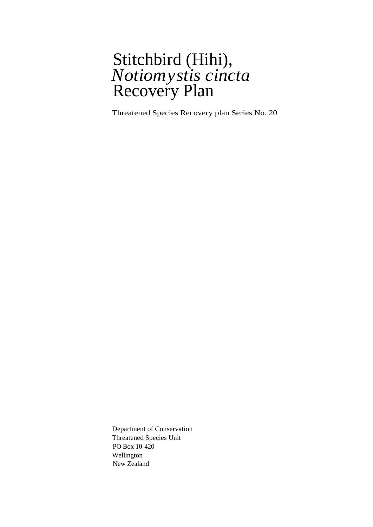### Stitchbird (Hihi), *Notiomystis cincta* Recovery Plan

Threatened Species Recovery plan Series No. 20

Department of Conservation Threatened Species Unit PO Box 10-420 Wellington New Zealand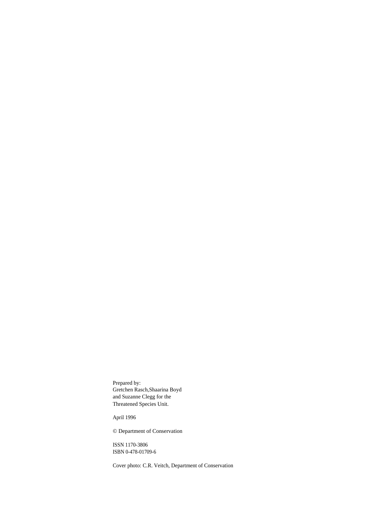Prepared by: Gretchen Rasch,Shaarina Boyd and Suzanne Clegg for the Threatened Species Unit.

April 1996

© Department of Conservation

ISSN 1170-3806 ISBN 0-478-01709-6

Cover photo: C.R. Veitch, Department of Conservation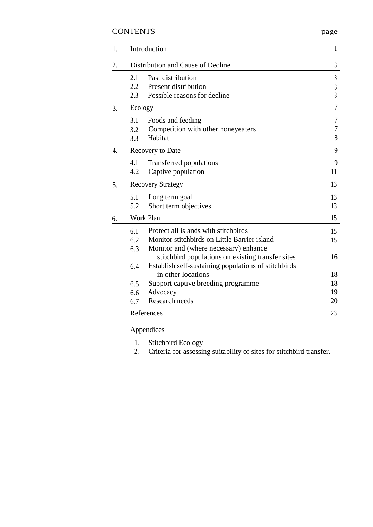### CONTENTS page

| 1. | Introduction                      |                                                      |                |
|----|-----------------------------------|------------------------------------------------------|----------------|
| 2. | Distribution and Cause of Decline |                                                      |                |
|    | 2.1                               | Past distribution                                    | $\mathfrak{Z}$ |
|    | 2.2                               | Present distribution                                 | $\sqrt{3}$     |
|    | 2.3                               | Possible reasons for decline                         | $\overline{3}$ |
| 3. | Ecology                           |                                                      |                |
|    | 3.1                               | Foods and feeding                                    | $\overline{7}$ |
|    | 3.2                               | Competition with other honeyeaters                   | 7              |
|    | 3.3                               | Habitat                                              | 8              |
| 4. | Recovery to Date                  |                                                      |                |
|    | 4.1                               | <b>Transferred populations</b>                       | 9              |
|    | 4.2                               | Captive population                                   | 11             |
| 5. | <b>Recovery Strategy</b>          |                                                      |                |
|    | 5.1                               | Long term goal                                       | 13             |
|    | 5.2                               | Short term objectives                                | 13             |
| 6. | Work Plan                         |                                                      |                |
|    | 6.1                               | Protect all islands with stitchbirds                 | 15             |
|    | 6.2                               | Monitor stitchbirds on Little Barrier island         | 15             |
|    | 6.3                               | Monitor and (where necessary) enhance                |                |
|    |                                   | stitchbird populations on existing transfer sites    | 16             |
|    | 6.4                               | Establish self-sustaining populations of stitchbirds |                |
|    |                                   | in other locations                                   | 18             |
|    | 6.5                               | Support captive breeding programme                   | 18             |
|    | 6.6                               | Advocacy                                             | 19             |
|    | 6.7                               | Research needs                                       | 20             |
|    | References                        |                                                      |                |

### Appendices

- 
- 1. Stitchbird Ecology<br>2. Criteria for assessi 2. Criteria for assessing suitability of sites for stitchbird transfer.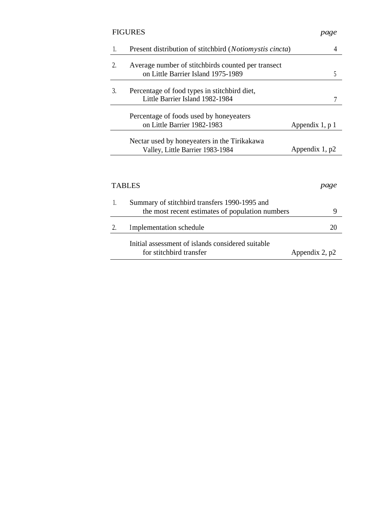|    | <b>FIGURES</b>                                                                                   | page            |
|----|--------------------------------------------------------------------------------------------------|-----------------|
| 1. | Present distribution of stitchbird (Notiomystis cincta)                                          | 4               |
| 2. | Average number of stitchbirds counted per transect<br>on Little Barrier Island 1975-1989         | 5               |
| 3. | Percentage of food types in stitchbird diet,<br>Little Barrier Island 1982-1984                  | 7               |
|    | Percentage of foods used by honeyeaters<br>on Little Barrier 1982-1983                           | Appendix 1, p 1 |
|    | Nectar used by honeyeaters in the Tirikakawa<br>Valley, Little Barrier 1983-1984                 | Appendix 1, p2  |
|    | <b>TABLES</b>                                                                                    | page            |
| 1. | Summary of stitchbird transfers 1990-1995 and<br>the most recent estimates of population numbers | 9               |
| 2. | Implementation schedule                                                                          | 20              |
|    | Initial assessment of islands considered suitable<br>for stitchbird transfer                     | Appendix 2, p2  |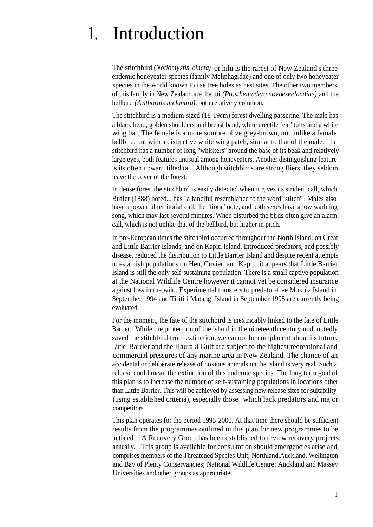# 1. Introduction

The stitchbird (*Notiomystis cincta)* or hihi is the rarest of New Zealand's three endemic honeyeater species (family Meliphagidae) and one of only two honeyeater species in the world known to use tree holes as nest sites. The other two members of this family in New Zealand are the tui *(Prosthemadera novaeseelandiae)* and the bellbird *(Anthornis melanura),* both relatively common.

The stitchbird is a medium-sized (18-19cm) forest dwelling passerine. The male has a black head, golden shoulders and breast band, white erectile `ear' tufts and a white wing bar. The female is a more sombre olive grey-brown, not unlike a female bellbird, but with a distinctive white wing patch, similar to that of the male. The stitchbird has a number of long "whiskers" around the base of its beak and relatively large eyes, both features unusual among honeyeaters. Another distinguishing feature is its often upward tilted tail. Although stitchbirds are strong fliers, they seldom leave the cover of the forest.

In dense forest the stitchbird is easily detected when it gives its strident call, which Buffer (1888) noted... has "a fanciful resemblance to the word `stitch"'. Males also have a powerful territorial call, the "tiora" note, and both sexes have a low warbling song, which may last several minutes. When disturbed the birds often give an alarm call, which is not unlike that of the bellbird, but higher in pitch.

In pre-European times the stitchbird occurred throughout the North Island; on Great and Little Barrier Islands, and on Kapiti Island. Introduced predators, and possibly disease, reduced the distribution to Little Barrier Island and despite recent attempts to establish populations on Hen, Cuvier, and Kapiti, it appears that Little Barrier Island is still the only self-sustaining population. There is a small captive population at the National Wildlife Centre however it cannot yet be considered insurance against loss in the wild. Experimental transfers to predator-free Mokoia Island in September 1994 and Tiritiri Matangi Island in September 1995 are currently being evaluated.

For the moment, the fate of the stitchbird is inextricably linked to the fate of Little Barrier. While the protection of the island in the nineteenth century undoubtedly saved the stitchbird from extinction, we cannot be complacent about its future. Little Barrier and the Hauraki Gulf are subject to the highest recreational and commercial pressures of any marine area in New Zealand. The chance of an accidental or deliberate release of noxious animals on the island is very real. Such a release could mean the extinction of this endemic species. The long term goal of this plan is to increase the number of self-sustaining populations in locations other than Little Barrier. This will be achieved by assessing new release sites for suitability (using established criteria), especially those which lack predators and major competitors.

This plan operates for the period 1995-2000. At that time there should be sufficient results from the programmes outlined in this plan for new programmes to be initiated. A Recovery Group has been established to review recovery projects annually. This group is available for consultation should emergencies arise and comprises members of the Threatened Species Unit; Northland,Auckland, Wellington and Bay of Plenty Conservancies; National Wildlife Centre; Auckland and Massey Universities and other groups as appropriate.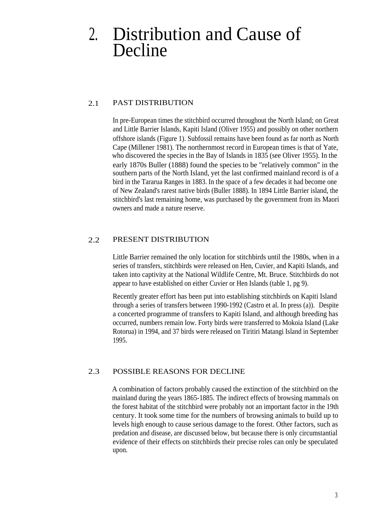## 2. Distribution and Cause of Decline

#### 2.1 PAST DISTRIBUTION

In pre-European times the stitchbird occurred throughout the North Island; on Great and Little Barrier Islands, Kapiti Island (Oliver 1955) and possibly on other northern offshore islands (Figure 1). Subfossil remains have been found as far north as North Cape (Millener 1981). The northernmost record in European times is that of Yate, who discovered the species in the Bay of Islands in 1835 (see Oliver 1955). In the early 1870s Buller (1888) found the species to be "relatively common" in the southern parts of the North Island, yet the last confirmed mainland record is of a bird in the Tararua Ranges in 1883. In the space of a few decades it had become one of New Zealand's rarest native birds (Buller 1888). In 1894 Little Barrier island, the stitchbird's last remaining home, was purchased by the government from its Maori owners and made a nature reserve.

#### 2.2 PRESENT DISTRIBUTION

Little Barrier remained the only location for stitchbirds until the 1980s, when in a series of transfers, stitchbirds were released on Hen, Cuvier, and Kapiti Islands, and taken into captivity at the National Wildlife Centre, Mt. Bruce. Stitchbirds do not appear to have established on either Cuvier or Hen Islands (table 1, pg 9).

Recently greater effort has been put into establishing stitchbirds on Kapiti Island through a series of transfers between 1990-1992 (Castro et al. In press (a)). Despite a concerted programme of transfers to Kapiti Island, and although breeding has occurred, numbers remain low. Forty birds were transferred to Mokoia Island (Lake Rotorua) in 1994, and 37 birds were released on Tiritiri Matangi Island in September 1995.

#### 2.3 POSSIBLE REASONS FOR DECLINE

A combination of factors probably caused the extinction of the stitchbird on the mainland during the years 1865-1885. The indirect effects of browsing mammals on the forest habitat of the stitchbird were probably not an important factor in the 19th century. It took some time for the numbers of browsing animals to build up to levels high enough to cause serious damage to the forest. Other factors, such as predation and disease, are discussed below, but because there is only circumstantial evidence of their effects on stitchbirds their precise roles can only be speculated upon.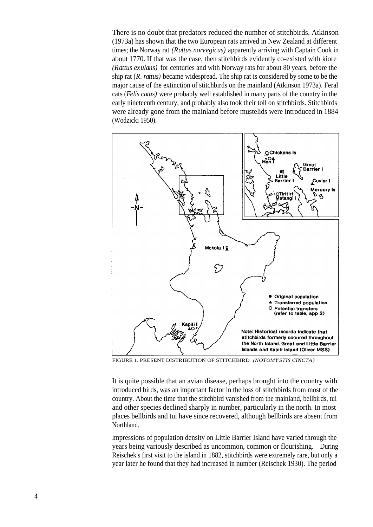There is no doubt that predators reduced the number of stitchbirds. Atkinson (1973a) has shown that the two European rats arrived in New Zealand at different times; the Norway rat *(Rattus norvegicus)* apparently arriving with Captain Cook in about 1770. If that was the case, then stitchbirds evidently co-existed with kiore *(Rattus exulans)* for centuries and with Norway rats for about 80 years, before the ship rat (*R. rattus)* became widespread. The ship rat is considered by some to be the major cause of the extinction of stitchbirds on the mainland (Atkinson 1973a). Feral cats (*Felis catus)* were probably well established in many parts of the country in the early nineteenth century, and probably also took their toll on stitchbirds. Stitchbirds were already gone from the mainland before mustelids were introduced in 1884 (Wodzicki 1950).



FIGURE 1. PRESENT DISTRIBUTION OF STITCHBIRD *(NOTOMYSTIS CINCTA)*

It is quite possible that an avian disease, perhaps brought into the country with introduced birds, was an important factor in the loss of stitchbirds from most of the country. About the time that the stitchbird vanished from the mainland, bellbirds, tui and other species declined sharply in number, particularly in the north. In most places bellbirds and tui have since recovered, although bellbirds are absent from Northland.

Impressions of population density on Little Barrier Island have varied through the years being variously described as uncommon, common or flourishing. During Reischek's first visit to the island in 1882, stitchbirds were extremely rare, but only a year later he found that they had increased in number (Reischek 1930). The period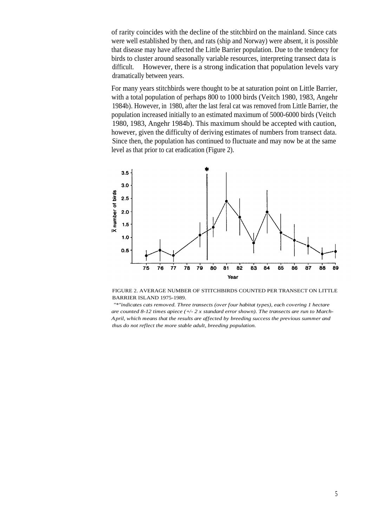of rarity coincides with the decline of the stitchbird on the mainland. Since cats were well established by then, and rats (ship and Norway) were absent, it is possible that disease may have affected the Little Barrier population. Due to the tendency for birds to cluster around seasonally variable resources, interpreting transect data is difficult. However, there is a strong indication that population levels vary dramatically between years.

For many years stitchbirds were thought to be at saturation point on Little Barrier, with a total population of perhaps 800 to 1000 birds (Veitch 1980, 1983, Angehr 1984b). However, in 1980, after the last feral cat was removed from Little Barrier, the population increased initially to an estimated maximum of 5000-6000 birds (Veitch 1980, 1983, Angehr 1984b). This maximum should be accepted with caution, however, given the difficulty of deriving estimates of numbers from transect data. Since then, the population has continued to fluctuate and may now be at the same level as that prior to cat eradication (Figure 2).



FIGURE 2. AVERAGE NUMBER OF STITCHBIRDS COUNTED PER TRANSECT ON LITTLE BARRIER ISLAND 1975-1989.

*"\*"indicates cats removed. Three transects (over four habitat types), each covering 1 hectare are counted 8-12 times apiece (+/- 2 x standard error shown). The transects are run to March-April, which means that the results are affected by breeding success the previous summer and thus do not reflect the more stable adult, breeding population.*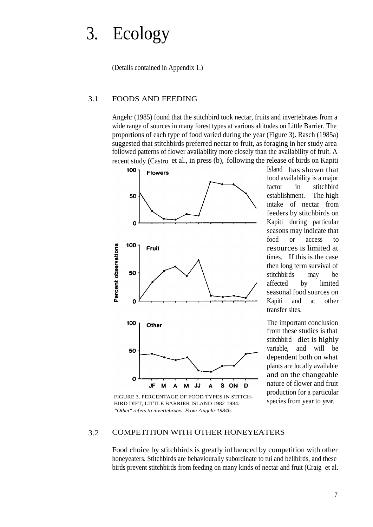# 3. Ecology

(Details contained in Appendix 1.)

#### 3.1 FOODS AND FEEDING

Angehr (1985) found that the stitchbird took nectar, fruits and invertebrates from a wide range of sources in many forest types at various altitudes on Little Barrier. The proportions of each type of food varied during the year (Figure 3). Rasch (1985a) suggested that stitchbirds preferred nectar to fruit, as foraging in her study area followed patterns of flower availability more closely than the availability of fruit. A recent study (Castro et al., in press (b), following the release of birds on Kapiti



FIGURE 3. PERCENTAGE OF FOOD TYPES IN STITCH-BIRD DIET, LITTLE BARRIER ISLAND 1982-1984. *"Other" refers to invertebrates. From Angehr 1984b.*

Island has shown that food availability is a major factor in stitchbird establishment. The high intake of nectar from feeders by stitchbirds on Kapiti during particular seasons may indicate that food or access to resources is limited at times. If this is the case then long term survival of stitchbirds may be affected by limited seasonal food sources on Kapiti and at other transfer sites.

The important conclusion from these studies is that stitchbird diet is highly variable, and will be dependent both on what plants are locally available and on the changeable nature of flower and fruit production for a particular species from year to year.

#### 3.2 COMPETITION WITH OTHER HONEYEATERS

Food choice by stitchbirds is greatly influenced by competition with other honeyeaters. Stitchbirds are behaviourally subordinate to tui and bellbirds, and these birds prevent stitchbirds from feeding on many kinds of nectar and fruit (Craig et al.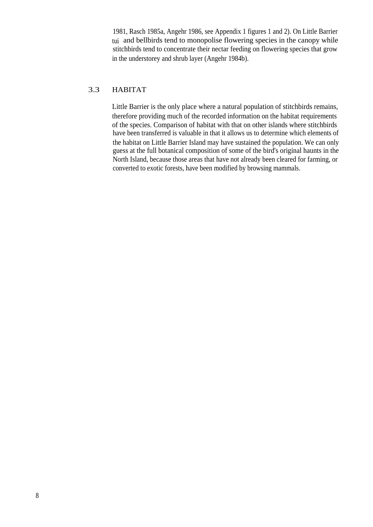1981, Rasch 1985a, Angehr 1986, see Appendix 1 figures 1 and 2). On Little Barrier tui and bellbirds tend to monopolise flowering species in the canopy while stitchbirds tend to concentrate their nectar feeding on flowering species that grow in the understorey and shrub layer (Angehr 1984b).

#### 3.3 HABITAT

Little Barrier is the only place where a natural population of stitchbirds remains, therefore providing much of the recorded information on the habitat requirements of the species. Comparison of habitat with that on other islands where stitchbirds have been transferred is valuable in that it allows us to determine which elements of the habitat on Little Barrier Island may have sustained the population. We can only guess at the full botanical composition of some of the bird's original haunts in the North Island, because those areas that have not already been cleared for farming, or converted to exotic forests, have been modified by browsing mammals.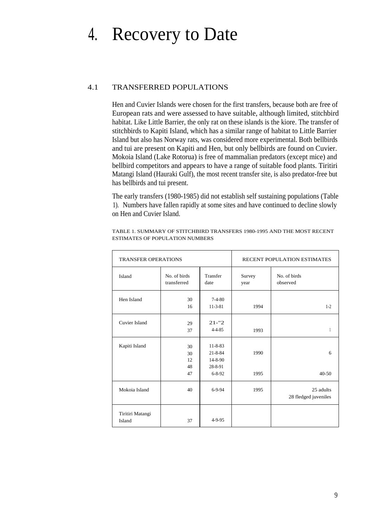## 4. Recovery to Date

#### 4.1 TRANSFERRED POPULATIONS

Hen and Cuvier Islands were chosen for the first transfers, because both are free of European rats and were assessed to have suitable, although limited, stitchbird habitat. Like Little Barrier, the only rat on these islands is the kiore. The transfer of stitchbirds to Kapiti Island, which has a similar range of habitat to Little Barrier Island but also has Norway rats, was considered more experimental. Both bellbirds and tui are present on Kapiti and Hen, but only bellbirds are found on Cuvier. Mokoia Island (Lake Rotorua) is free of mammalian predators (except mice) and bellbird competitors and appears to have a range of suitable food plants. Tiritiri Matangi Island (Hauraki Gulf), the most recent transfer site, is also predator-free but has bellbirds and tui present.

The early transfers (1980-1985) did not establish self sustaining populations (Table 1). Numbers have fallen rapidly at some sites and have continued to decline slowly on Hen and Cuvier Island.

| <b>TRANSFER OPERATIONS</b> |                             |                                                                            | RECENT POPULATION ESTIMATES |                                   |
|----------------------------|-----------------------------|----------------------------------------------------------------------------|-----------------------------|-----------------------------------|
| Island                     | No. of birds<br>transferred | Transfer<br>date                                                           | Survey<br>year              | No. of birds<br>observed          |
| Hen Island                 | 30<br>16                    | $7-4-80$<br>$11 - 3 - 81$                                                  | 1994                        | $1 - 2$                           |
| Cuvier Island              | 29<br>37                    | $21 - 2$<br>$4 - 4 - 85$                                                   | 1993                        | 1                                 |
| Kapiti Island              | 30<br>30<br>12<br>48<br>47  | $11 - 8 - 83$<br>$21 - 8 - 84$<br>$14 - 8 - 90$<br>28-8-91<br>$6 - 8 - 92$ | 1990<br>1995                | 6<br>$40 - 50$                    |
| Mokoia Island              | 40                          | $6-9-94$                                                                   | 1995                        | 25 adults<br>28 fledged juveniles |
| Tiritiri Matangi<br>Island | 37                          | $4 - 9 - 95$                                                               |                             |                                   |

TABLE 1. SUMMARY OF STITCHBIRD TRANSFERS 1980-1995 AND THE MOST RECENT ESTIMATES OF POPULATION NUMBERS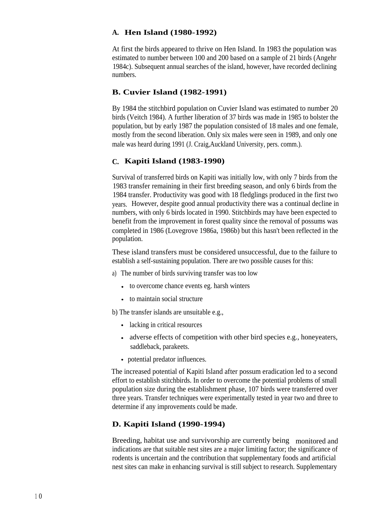#### **A. Hen Island (1980-1992)**

At first the birds appeared to thrive on Hen Island. In 1983 the population was estimated to number between 100 and 200 based on a sample of 21 birds (Angehr 1984c). Subsequent annual searches of the island, however, have recorded declining numbers.

### **B. Cuvier Island (1982-1991)**

By 1984 the stitchbird population on Cuvier Island was estimated to number 20 birds (Veitch 1984). A further liberation of 37 birds was made in 1985 to bolster the population, but by early 1987 the population consisted of 18 males and one female, mostly from the second liberation. Only six males were seen in 1989, and only one male was heard during 1991 (J. Craig,Auckland University, pers. comm.).

#### **C. Kapiti Island (1983-1990)**

Survival of transferred birds on Kapiti was initially low, with only 7 birds from the 1983 transfer remaining in their first breeding season, and only 6 birds from the 1984 transfer. Productivity was good with 18 fledglings produced in the first two years. However, despite good annual productivity there was a continual decline in numbers, with only 6 birds located in 1990. Stitchbirds may have been expected to benefit from the improvement in forest quality since the removal of possums was completed in 1986 (Lovegrove 1986a, 1986b) but this hasn't been reflected in the population.

These island transfers must be considered unsuccessful, due to the failure to establish a self-sustaining population. There are two possible causes for this:

- a) The number of birds surviving transfer was too low
	- to overcome chance events eg. harsh winters
	- to maintain social structure

b) The transfer islands are unsuitable e.g.,

- lacking in critical resources
- adverse effects of competition with other bird species e.g., honeyeaters, saddleback, parakeets.
- potential predator influences.

The increased potential of Kapiti Island after possum eradication led to a second effort to establish stitchbirds. In order to overcome the potential problems of small population size during the establishment phase, 107 birds were transferred over three years. Transfer techniques were experimentally tested in year two and three to determine if any improvements could be made.

#### **D. Kapiti Island (1990-1994)**

Breeding, habitat use and survivorship are currently being monitored and indications are that suitable nest sites are a major limiting factor; the significance of rodents is uncertain and the contribution that supplementary foods and artificial nest sites can make in enhancing survival is still subject to research. Supplementary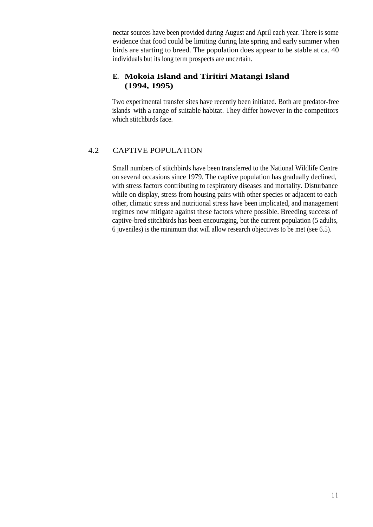nectar sources have been provided during August and April each year. There is some evidence that food could be limiting during late spring and early summer when birds are starting to breed. The population does appear to be stable at ca. 40 individuals but its long term prospects are uncertain.

#### **E. Mokoia Island and Tiritiri Matangi Island (1994, 1995)**

Two experimental transfer sites have recently been initiated. Both are predator-free islands with a range of suitable habitat. They differ however in the competitors which stitchbirds face.

#### 4.2 CAPTIVE POPULATION

Small numbers of stitchbirds have been transferred to the National Wildlife Centre on several occasions since 1979. The captive population has gradually declined, with stress factors contributing to respiratory diseases and mortality. Disturbance while on display, stress from housing pairs with other species or adjacent to each other, climatic stress and nutritional stress have been implicated, and management regimes now mitigate against these factors where possible. Breeding success of captive-bred stitchbirds has been encouraging, but the current population (5 adults, 6 juveniles) is the minimum that will allow research objectives to be met (see 6.5).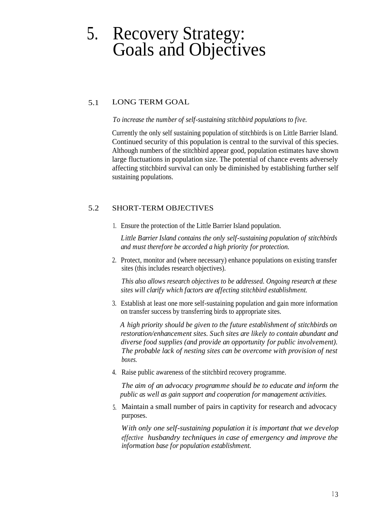## 5. Recovery Strategy: Goals and Objectives

#### 5.1 LONG TERM GOAL

*To increase the number of self-sustaining stitchbird populations to five.*

Currently the only self sustaining population of stitchbirds is on Little Barrier Island. Continued security of this population is central to the survival of this species. Although numbers of the stitchbird appear good, population estimates have shown large fluctuations in population size. The potential of chance events adversely affecting stitchbird survival can only be diminished by establishing further self sustaining populations.

#### 5.2 SHORT-TERM OBJECTIVES

1. Ensure the protection of the Little Barrier Island population.

*Little Barrier Island contains the only self-sustaining population of stitchbirds and must therefore be accorded a high priority for protection.*

2. Protect, monitor and (where necessary) enhance populations on existing transfer sites (this includes research objectives).

*This also allows research objectives to be addressed. Ongoing research at these sites will clarify which factors are affecting stitchbird establishment.*

3. Establish at least one more self-sustaining population and gain more information on transfer success by transferring birds to appropriate sites.

*A high priority should be given to the future establishment of stitchbirds on restoration/enhancement sites. Such sites are likely to contain abundant and diverse food supplies (and provide an opportunity for public involvement). The probable lack of nesting sites can be overcome with provision of nest boxes.*

4. Raise public awareness of the stitchbird recovery programme.

*The aim of an advocacy programme should be to educate and inform the public as well as gain support and cooperation for management activities.*

5. Maintain a small number of pairs in captivity for research and advocacy purposes.

*With only one self-sustaining population it is important that we develop effective husbandry techniques in case of emergency and improve the information base for population establishment.*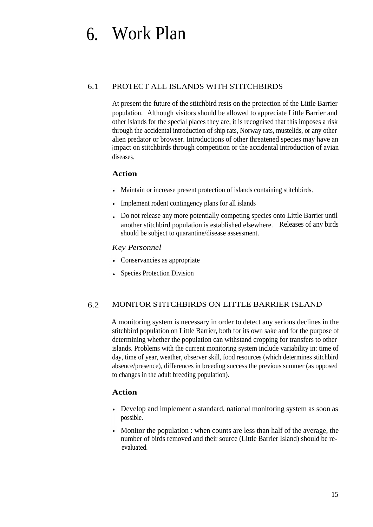# 6. Work Plan

#### 6.1 PROTECT ALL ISLANDS WITH STITCHBIRDS

At present the future of the stitchbird rests on the protection of the Little Barrier population. Although visitors should be allowed to appreciate Little Barrier and other islands for the special places they are, it is recognised that this imposes a risk through the accidental introduction of ship rats, Norway rats, mustelids, or any other alien predator or browser. Introductions of other threatened species may have an impact on stitchbirds through competition or the accidental introduction of avian diseases.

#### **Action**

- Maintain or increase present protection of islands containing stitchbirds.
- Implement rodent contingency plans for all islands
- Do not release any more potentially competing species onto Little Barrier until another stitchbird population is established elsewhere. Releases of any birds should be subject to quarantine/disease assessment.

#### *Key Personnel*

- Conservancies as appropriate
- Species Protection Division

#### 6.2 MONITOR STITCHBIRDS ON LITTLE BARRIER ISLAND

A monitoring system is necessary in order to detect any serious declines in the stitchbird population on Little Barrier, both for its own sake and for the purpose of determining whether the population can withstand cropping for transfers to other islands. Problems with the current monitoring system include variability in: time of day, time of year, weather, observer skill, food resources (which determines stitchbird absence/presence), differences in breeding success the previous summer (as opposed to changes in the adult breeding population).

#### **Action**

- Develop and implement a standard, national monitoring system as soon as possible.
- Monitor the population : when counts are less than half of the average, the number of birds removed and their source (Little Barrier Island) should be reevaluated.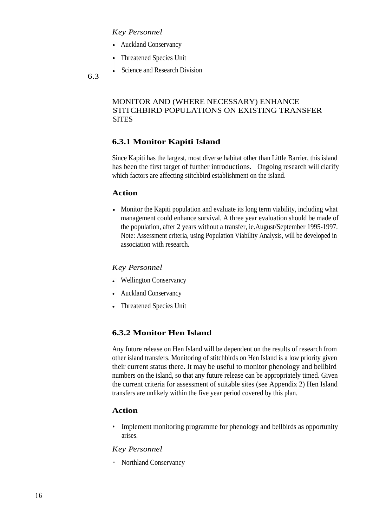#### *Key Personnel*

- Auckland Conservancy
- Threatened Species Unit
- Science and Research Division

6.3

#### MONITOR AND (WHERE NECESSARY) ENHANCE STITCHBIRD POPULATIONS ON EXISTING TRANSFER **SITES**

#### **6.3.1 Monitor Kapiti Island**

Since Kapiti has the largest, most diverse habitat other than Little Barrier, this island has been the first target of further introductions. Ongoing research will clarify which factors are affecting stitchbird establishment on the island.

#### **Action**

Monitor the Kapiti population and evaluate its long term viability, including what management could enhance survival. A three year evaluation should be made of the population, after 2 years without a transfer, ie.August/September 1995-1997. Note: Assessment criteria, using Population Viability Analysis, will be developed in association with research.

#### *Key Personnel*

- Wellington Conservancy
- Auckland Conservancy
- Threatened Species Unit  $\bullet$

#### **6.3.2 Monitor Hen Island**

Any future release on Hen Island will be dependent on the results of research from other island transfers. Monitoring of stitchbirds on Hen Island is a low priority given their current status there. It may be useful to monitor phenology and bellbird numbers on the island, so that any future release can be appropriately timed. Given the current criteria for assessment of suitable sites (see Appendix 2) Hen Island transfers are unlikely within the five year period covered by this plan.

#### **Action**

• Implement monitoring programme for phenology and bellbirds as opportunity arises.

#### *Key Personnel*

• Northland Conservancy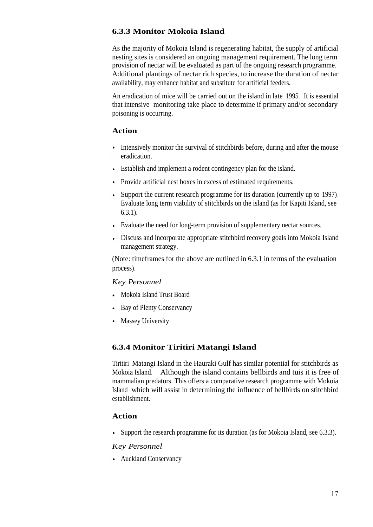#### **6.3.3 Monitor Mokoia Island**

As the majority of Mokoia Island is regenerating habitat, the supply of artificial nesting sites is considered an ongoing management requirement. The long term provision of nectar will be evaluated as part of the ongoing research programme. Additional plantings of nectar rich species, to increase the duration of nectar availability, may enhance habitat and substitute for artificial feeders.

An eradication of mice will be carried out on the island in late 1995. It is essential that intensive monitoring take place to determine if primary and/or secondary poisoning is occurring.

#### **Action**

- Intensively monitor the survival of stitchbirds before, during and after the mouse eradication.
- Establish and implement a rodent contingency plan for the island.
- Provide artificial nest boxes in excess of estimated requirements.
- Support the current research programme for its duration (currently up to 1997)*.* Evaluate long term viability of stitchbirds on the island (as for Kapiti Island, see 6.3.1).
- Evaluate the need for long-term provision of supplementary nectar sources.
- Discuss and incorporate appropriate stitchbird recovery goals into Mokoia Island management strategy.

(Note: timeframes for the above are outlined in 6.3.1 in terms of the evaluation process).

#### *Key Personnel*

- Mokoia Island Trust Board
- Bay of Plenty Conservancy
- Massey University

#### **6.3.4 Monitor Tiritiri Matangi Island**

Tiritiri Matangi Island in the Hauraki Gulf has similar potential for stitchbirds as Mokoia Island. Although the island contains bellbirds and tuis it is free of mammalian predators. This offers a comparative research programme with Mokoia Island which will assist in determining the influence of bellbirds on stitchbird establishment.

#### **Action**

Support the research programme for its duration (as for Mokoia Island, see 6.3.3).

#### *Key Personnel*

Auckland Conservancy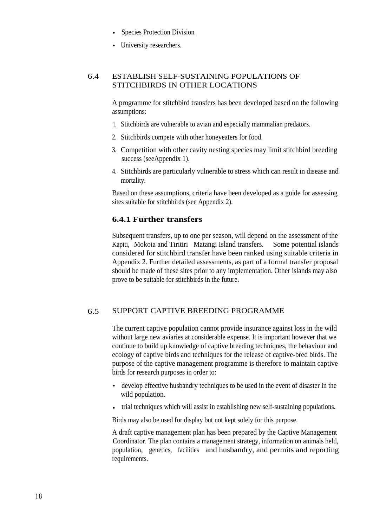- Species Protection Division
- University researchers.

#### 6.4 ESTABLISH SELF-SUSTAINING POPULATIONS OF STITCHBIRDS IN OTHER LOCATIONS

A programme for stitchbird transfers has been developed based on the following assumptions:

- 1. Stitchbirds are vulnerable to avian and especially mammalian predators.
- 2. Stitchbirds compete with other honeyeaters for food.
- 3. Competition with other cavity nesting species may limit stitchbird breeding success (seeAppendix 1).
- 4. Stitchbirds are particularly vulnerable to stress which can result in disease and mortality.

Based on these assumptions, criteria have been developed as a guide for assessing sites suitable for stitchbirds (see Appendix 2).

#### **6.4.1 Further transfers**

Subsequent transfers, up to one per season, will depend on the assessment of the Kapiti, Mokoia and Tiritiri Matangi Island transfers. Some potential islands considered for stitchbird transfer have been ranked using suitable criteria in Appendix 2. Further detailed assessments, as part of a formal transfer proposal should be made of these sites prior to any implementation. Other islands may also prove to be suitable for stitchbirds in the future.

#### 6.5 SUPPORT CAPTIVE BREEDING PROGRAMME

The current captive population cannot provide insurance against loss in the wild without large new aviaries at considerable expense. It is important however that we continue to build up knowledge of captive breeding techniques, the behaviour and ecology of captive birds and techniques for the release of captive-bred birds. The purpose of the captive management programme is therefore to maintain captive birds for research purposes in order to:

- develop effective husbandry techniques to be used in the event of disaster in the wild population.
- trial techniques which will assist in establishing new self-sustaining populations.

Birds may also be used for display but not kept solely for this purpose.

A draft captive management plan has been prepared by the Captive Management Coordinator. The plan contains a management strategy, information on animals held, population, genetics, facilities and husbandry, and permits and reporting requirements.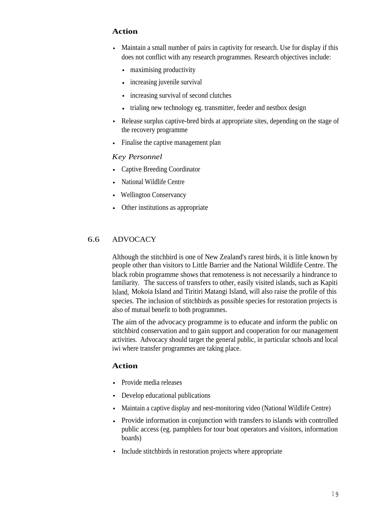#### **Action**

- Maintain a small number of pairs in captivity for research. Use for display if this does not conflict with any research programmes. Research objectives include:
	- maximising productivity
	- increasing juvenile survival  $\bullet$
	- increasing survival of second clutches  $\bullet$
	- trialing new technology eg. transmitter, feeder and nestbox design  $\bullet$
- Release surplus captive-bred birds at appropriate sites, depending on the stage of the recovery programme
- Finalise the captive management plan

#### *Key Personnel*

- Captive Breeding Coordinator
- National Wildlife Centre
- Wellington Conservancy
- Other institutions as appropriate

#### 6.6 ADVOCACY

Although the stitchbird is one of New Zealand's rarest birds, it is little known by people other than visitors to Little Barrier and the National Wildlife Centre. The black robin programme shows that remoteness is not necessarily a hindrance to familiarity. The success of transfers to other, easily visited islands, such as Kapiti Island, Mokoia Island and Tiritiri Matangi Island, will also raise the profile of this species. The inclusion of stitchbirds as possible species for restoration projects is also of mutual benefit to both programmes.

The aim of the advocacy programme is to educate and inform the public on stitchbird conservation and to gain support and cooperation for our management activities. Advocacy should target the general public, in particular schools and local iwi where transfer programmes are taking place.

#### **Action**

- Provide media releases
- Develop educational publications
- Maintain a captive display and nest-monitoring video (National Wildlife Centre)
- Provide information in conjunction with transfers to islands with controlled public access (eg. pamphlets for tour boat operators and visitors, information boards)
- Include stitchbirds in restoration projects where appropriate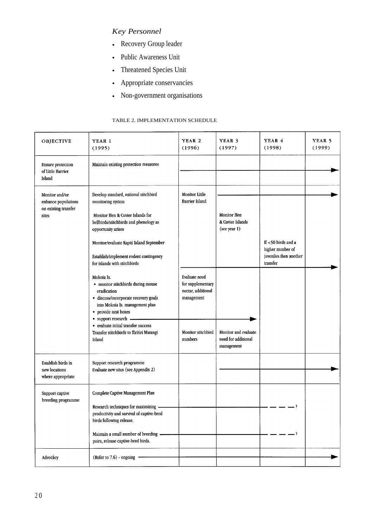### *Key Personnel*

- Recovery Group leader
- Public Awareness Unit
- Threatened Species Unit
- Appropriate conservancies
- Non-government organisations

#### TABLE 2. IMPLEMENTATION SCHEDULE

| OBJECTIVE                                                              | YEAR 1<br>(1995)                                                                                                                                                                                                                                                                     | YEAR <sub>2</sub><br>(1996)                                            | YEAR 3<br>(1997)                                          | YEAR 4<br>(1998)                                                                | YEAR 5<br>(1999) |
|------------------------------------------------------------------------|--------------------------------------------------------------------------------------------------------------------------------------------------------------------------------------------------------------------------------------------------------------------------------------|------------------------------------------------------------------------|-----------------------------------------------------------|---------------------------------------------------------------------------------|------------------|
| <b>Ensure</b> protection<br>of Little Barrier<br>Island                | Maintain existing protection measures                                                                                                                                                                                                                                                |                                                                        |                                                           |                                                                                 |                  |
| Monitor and/or<br>enhance populations<br>on existing transfer<br>sites | Develop standard, national stitchbird<br>monitoring system<br>Monitor Hen & Cuvier Islands for<br>bellbirds/stitchbirds and phenology as<br>opportunity arises<br>Monitor/evaluate Kapiti Island September<br>Establish/implement rodent contingency<br>for islands with stitchbirds | Monitor Little<br><b>Barrier Island</b>                                | Monitor Hen<br>& Cuvier Islands<br>(see year 1)           | If $<$ 50 birds and a<br>higher number of<br>juveniles then another<br>transfer |                  |
|                                                                        | Mokoia Is.<br>· monitor stitchbirds during mouse<br>eradication<br>· discuss/incorporate recovery goals<br>into Mokoia Is. management plan<br>• provide nest boxes<br>· support research -                                                                                           | Evaluate need<br>for supplementary<br>nectar, additional<br>management |                                                           |                                                                                 |                  |
|                                                                        | • evaluate initial transfer success<br>Transfer stitchbirds to Tiritiri Matangi<br>Island                                                                                                                                                                                            | Monitor stitchbird<br>numbers                                          | Monitor and evaluate<br>need for additional<br>management |                                                                                 |                  |
| Establish birds in<br>new locations<br>where appropriate               | Support research programme<br>Evaluate new sites (see Appendix 2)                                                                                                                                                                                                                    |                                                                        |                                                           |                                                                                 |                  |
| Support captive<br>breeding programme                                  | Complete Captive Management Plan<br>Research techniques for maximising -<br>productivity and survival of captive-bred<br>birds following release.<br>Maintain a small number of breeding -<br>pairs, release captive-bred birds.                                                     |                                                                        |                                                           | - ?                                                                             |                  |
| Advocácy                                                               | (Refer to 7.6) - ongoing -                                                                                                                                                                                                                                                           |                                                                        |                                                           |                                                                                 |                  |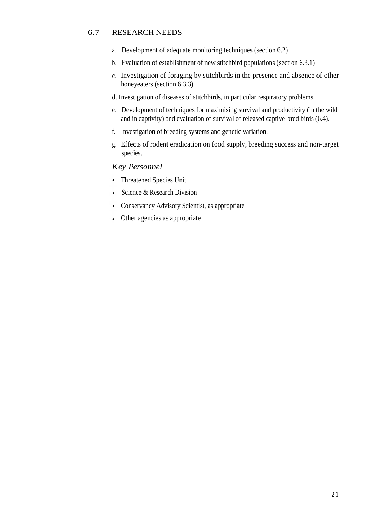#### 6.7 RESEARCH NEEDS

- a. Development of adequate monitoring techniques (section 6.2)
- b. Evaluation of establishment of new stitchbird populations (section 6.3.1)
- c. Investigation of foraging by stitchbirds in the presence and absence of other honeyeaters (section 6.3.3)
- d. Investigation of diseases of stitchbirds, in particular respiratory problems.
- e. Development of techniques for maximising survival and productivity (in the wild and in captivity) and evaluation of survival of released captive-bred birds (6.4).
- f. Investigation of breeding systems and genetic variation.
- g. Effects of rodent eradication on food supply, breeding success and non-target species.

#### *Key Personnel*

- Threatened Species Unit
- Science & Research Division  $\bullet$
- Conservancy Advisory Scientist, as appropriate  $\bullet$
- Other agencies as appropriate  $\bullet$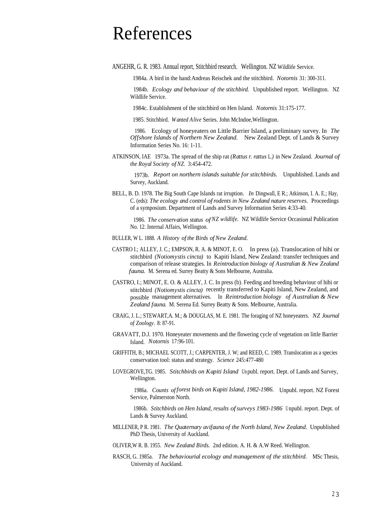## References

ANGEHR, G. R. 1983. Annual report, Stitchbird research. Wellington. NZ Wildlife Service.

1984a. A bird in the hand:Andreas Reischek and the stitchbird. *Notornis* 31: 300-311.

1984b. *Ecology and behaviour of the stitchbird.* Unpublished report. Wellington. NZ Wildlife Service.

1984c. Establishment of the stitchbird on Hen Island. *Notornis* 31:175-177.

1985. Stitchbird. *Wanted Alive* Series. John McIndoe,Wellington.

1986. Ecology of honeyeaters on Little Barrier Island, a preliminary survey. In *The Offshore Islands of Northern New Zealand.* New Zealand Dept. of Lands & Survey Information Series No. 16: 1-11.

ATKINSON, IAE 1973a. The spread of the ship rat *(Rattus r. rattus* L.*)* in New Zealand. *Journal of the Royal Society ofNZ.* 3:454-472.

1973b. *Report on northern islands suitable for stitchbirds.* Unpublished. Lands and Survey, Auckland.

BELL, B. D. 1978. The Big South Cape Islands rat irruption. *In* Dingwall, E R.; Atkinson, I. A. E.; Hay, C. (eds): *The ecology and control ofrodents in New Zealand nature reserves.* Proceedings of a symposium. Department of Lands and Survey Information Series 4:33-40.

1986. *The conservation status ofNZ wildlife.* NZ Wildlife Service Occasional Publication No. 12. Internal Affairs, Wellington.

- BULLER, W L. 1888. A History of the Birds of New Zealand.
- CASTRO I.; ALLEY, J. C.; EMPSON, R. A. & MINOT, E. O. In press (a). Translocation of hihi or stitchbird *(Notiomystis cincta)* to Kapiti Island, New Zealand: transfer techniques and comparison of release strategies. In *Reintroduction biology of Australian & New Zealand fauna.* M. Serena ed. Surrey Beatty & Sons Melbourne, Australia.
- CASTRO, I.; MINOT, E. O. & ALLEY, J. C. In press (b). Feeding and breeding behaviour of hihi or stitchbird *(Notiomystis cincta)* recently transferred to Kapiti Island, New Zealand, and possible management alternatives. In *Reintroduction biology of Australian & New Zealand fauna.* M. Serena Ed. Surrey Beatty & Sons. Melbourne, Australia.
- CRAIG, J. L.; STEWART,A. M.; & DOUGLAS, M. E. 1981. The foraging of NZ honeyeaters. *NZ Journal of Zoology.* 8: 87-91.
- GRAVATT, D.J. 1970. Honeyeater movements and the flowering cycle of vegetation on little Barrier Island. *Notornis* 17:96-101.
- GRIFFITH, B.; MICHAEL SCOTT, J.; CARPENTER, J. W; and REED, C. 1989. Translocation as a species conservation tool: status and strategy. *Science* 245:477-480
- LOVEGROVE,TG. 1985. *Stitchbirds on Kapiti Island* Un publ. report. Dept. of Lands and Survey, Wellington.

1986a. *Counts offorest birds on Kapiti Island, 1982-1986.* Unpubl. report. NZ Forest Service, Palmerston North.

1986b. *Stitchbirds on Hen Island, results ofsurveys 1983-1986* <sup>U</sup> npubl. report. Dept. of Lands & Survey Auckland.

- MILLENER, P R. 1981. *The Quaternary avifauna of the North Island, New Zealand.* Unpublished PhD Thesis, University of Auckland.
- OLIVER,W R. B. 1955. *New Zealand Birds.* 2nd edition. A. H. & A.W Reed. Wellington.
- RASCH, G. 1985a. *The behaviourial ecology and management of the stitchbird.* MSc Thesis, University of Auckland.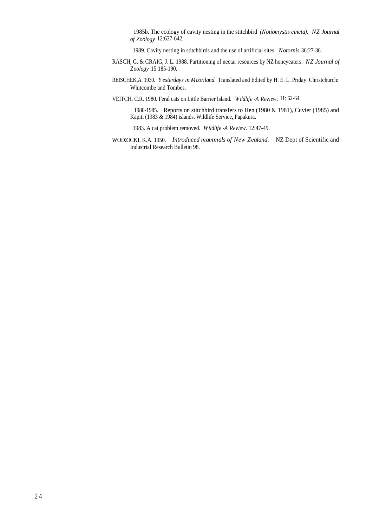1985b. The ecology of cavity nesting in the stitchbird *(Notiomystis cincta). NZ Journal of Zoology* 12:637-642.

1989. Cavity nesting in stitchbirds and the use of artificial sites. *Notornis* 36:27-36.

- RASCH, G. & CRAIG, J. L. 1988. Partitioning of nectar resources by NZ honeyeaters. *NZ Journal of Zoology* 15:185-190.
- REISCHEK,A. 1930. *Yesterdays in Maoriland.* Translated and Edited by H. E. L. Priday. Christchurch: Whitcombe and Tombes.
- VEITCH, C.R. 1980. Feral cats on Little Barrier Island. *Wildlife -A Review.* 11: 62-64.

1980-1985. Reports on stitchbird transfers to Hen (1980 & 1981), Cuvier (1985) and Kapiti (1983 & 1984) islands. Wildlife Service, Papakura.

1983. A cat problem removed. *Wildlife -A Review.* 12:47-49.

WODZICKI, K.A. 1950. *Introduced mammals of New Zealand.* NZ Dept of Scientific and Industrial Research Bulletin 98.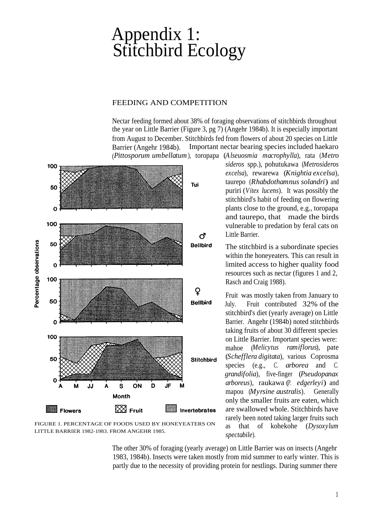## Appendix 1: Stitchbird Ecology

#### FEEDING AND COMPETITION

Nectar feeding formed about 38% of foraging observations of stitchbirds throughout the year on Little Barrier (Figure 3, pg 7) (Angehr 1984b). It is especially important from August to December. Stitchbirds fed from flowers of about 20 species on Little Barrier (Angehr 1984b). Important nectar bearing species included haekaro (*Pittosporum umbellatum*), toropapa (*Alseuosmia macrophylla*), rata (*Metro*



FIGURE 1. PERCENTAGE OF FOODS USED BY HONEYEATERS ON LITTLE BARRIER 1982-1983. FROM ANGEHR 1985.

*sideros* spp.), pohutukawa (*Metrosideros excelsa*), rewarewa (*Knightia excelsa*), taurepo (*Rhabdothamnus solandri*) and puriri (*Vitex lucens*). It was possibly the stitchbird's habit of feeding on flowering plants close to the ground, e.g., toropapa and taurepo, that made the birds vulnerable to predation by feral cats on Little Barrier.

The stitchbird is a subordinate species within the honeyeaters. This can result in limited access to higher quality food resources such as nectar (figures 1 and 2, Rasch and Craig 1988).

Fruit was mostly taken from January to July. Fruit contributed 32% of the stitchbird's diet (yearly average) on Little Barrier. Angehr (1984b) noted stitchbirds taking fruits of about 30 different species on Little Barrier. Important species were: mahoe (*Melicytus ramiflorus*), pate (*Schefflera digitata*), various Coprosma species (e.g., *C. arborea* and *C. grandifolia*), five-finger (*Pseudopanax arboreus*), raukawa (*P. edgerleyi*) and mapou (*Myrsine australis*). Generally only the smaller fruits are eaten, which are swallowed whole. Stitchbirds have rarely been noted taking larger fruits such as that of kohekohe (*Dysoxylum spectabile*).

The other 30% of foraging (yearly average) on Little Barrier was on insects (Angehr 1983, 1984b). Insects were taken mostly from mid summer to early winter. This is partly due to the necessity of providing protein for nestlings. During summer there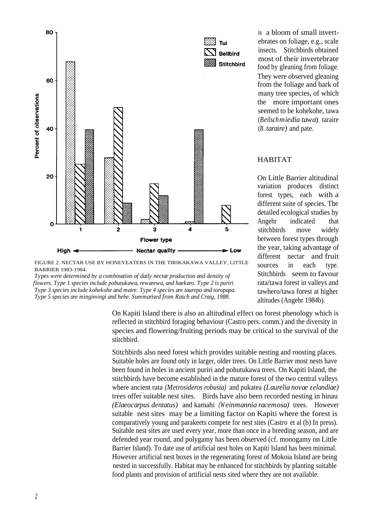

FIGURE 2. NECTAR USE BY HONEYEATERS IN THE TIRIKAKAWA VALLEY, LITTLE BARRIER 1983-1984.

*Types were determined by a combination of daily nectar production and density of flowers. Type 1 species include pobutukawa, rewarewa, and haekaro. Type 2 is puriri. Type 3 species include kohekohe and maire. Type 4 species are taurepo and toropapa. Type 5 species are mingimingi and hebe. Summarised from Rasch and Craig, 1988.*

> On Kapiti Island there is also an altitudinal effect on forest phenology which is reflected in stitchbird foraging behaviour (Castro pers. comm.) and the diversity in species and flowering/fruiting periods may be critical to the survival of the stitchbird.

> Stitchbirds also need forest which provides suitable nesting and roosting places. Suitable holes are found only in larger, older trees. On Little Barrier most nests have been found in holes in ancient puriri and pohutukawa trees. On Kapiti Island, the stitchbirds have become established in the mature forest of the two central valleys where ancient rata *(Metrosideros robusta)* and pukatea *(Laurelia novae zelandiae)* trees offer suitable nest sites. Birds have also been recorded nesting in hinau *(Elaeocarpus dentatus)* and kamahi *(Weinmannia racemosa)* trees. However suitable nest sites may be a limiting factor on Kapiti where the forest is comparatively young and parakeets compete for nest sites (Castro et al (b) In press). Suitable nest sites are used every year, more than once in a breeding season, and are defended year round, and polygamy has been observed (cf. monogamy on Little Barrier Island). To date use of artificial nest holes on Kapiti Island has been minimal. However artificial nest boxes in the regenerating forest of Mokoia Island are being nested in successfully. Habitat may be enhanced for stitchbirds by planting suitable food plants and provision of artificial nests sited where they are not available.

is a bloom of small invertebrates on foliage, e.g., scale insects. Stitchbirds obtained most of their invertebrate food by gleaning from foliage. They were observed gleaning from the foliage and bark of many tree species, of which the more important ones seemed to be kohekohe, tawa (*Beilschmiedia tawa*)*,* taraire (*B. taraire)* and pate.

#### HABITAT

On Little Barrier altitudinal variation produces distinct forest types, each with a different suite of species. The detailed ecological studies by Angehr indicated that stitchbirds move widely between forest types through the year, taking advantage of different nectar and fruit sources in each type. Stitchbirds seem to favour rata/tawa forest in valleys and tawhero/tawa forest at higher altitudes (Angehr 1984b).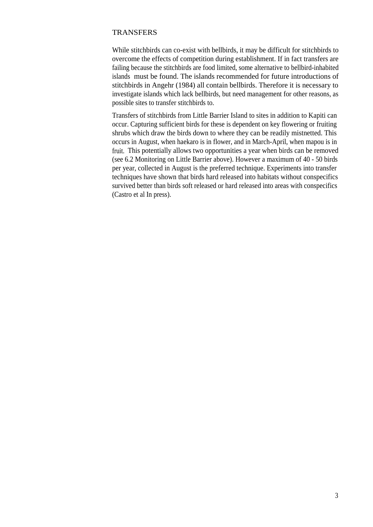#### **TRANSFERS**

While stitchbirds can co-exist with bellbirds, it may be difficult for stitchbirds to overcome the effects of competition during establishment. If in fact transfers are failing because the stitchbirds are food limited, some alternative to bellbird-inhabited islands must be found. The islands recommended for future introductions of stitchbirds in Angehr (1984) all contain bellbirds. Therefore it is necessary to investigate islands which lack bellbirds, but need management for other reasons, as possible sites to transfer stitchbirds to.

Transfers of stitchbirds from Little Barrier Island to sites in addition to Kapiti can occur. Capturing sufficient birds for these is dependent on key flowering or fruiting shrubs which draw the birds down to where they can be readily mistnetted. This occurs in August, when haekaro is in flower, and in March-April, when mapou is in fruit. This potentially allows two opportunities a year when birds can be removed (see 6.2 Monitoring on Little Barrier above). However a maximum of 40 - 50 birds per year, collected in August is the preferred technique. Experiments into transfer techniques have shown that birds hard released into habitats without conspecifics survived better than birds soft released or hard released into areas with conspecifics (Castro et al In press).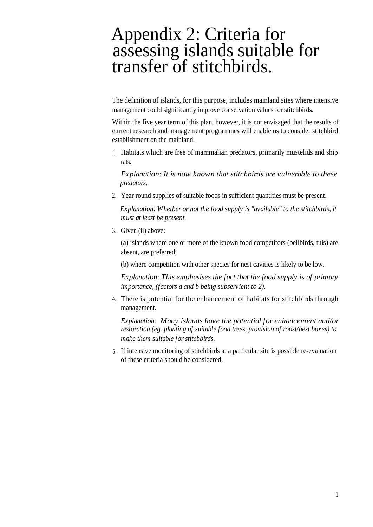## Appendix 2: Criteria for assessing islands suitable for transfer of stitchbirds.

The definition of islands, for this purpose, includes mainland sites where intensive management could significantly improve conservation values for stitchbirds.

Within the five year term of this plan, however, it is not envisaged that the results of current research and management programmes will enable us to consider stitchbird establishment on the mainland.

1. Habitats which are free of mammalian predators, primarily mustelids and ship rats.

*Explanation: It is now known that stitchbirds are vulnerable to these predators.*

2. Year round supplies of suitable foods in sufficient quantities must be present.

*Explanation: Whetber or not the food supply is "available" to the stitchbirds, it must at least be present.*

3. Given (ii) above:

(a) islands where one or more of the known food competitors (bellbirds, tuis) are absent, are preferred;

(b) where competition with other species for nest cavities is likely to be low.

*Explanation: This emphasises the fact that the food supply is of primary importance, (factors a and b being subservient to 2).*

4. There is potential for the enhancement of habitats for stitchbirds through management.

*Explanation: Many islands have the potential for enhancement and/or restoration (eg. planting of suitable food trees, provision of roost/nest boxes) to make them suitable for stitcbbirds.*

5. If intensive monitoring of stitchbirds at a particular site is possible re-evaluation of these criteria should be considered.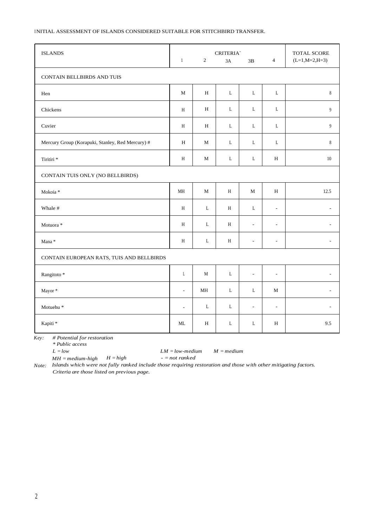#### INITIAL ASSESSMENT OF ISLANDS CONSIDERED SUITABLE FOR STITCHBIRD TRANSFER.

| <b>ISLANDS</b>                                   | $\mathbf{1}$             | $\sqrt{2}$    | <b>CRITERIA</b><br>3A | $3\mathrm{B}$            | $\overline{4}$           | TOTAL SCORE<br>$(L=1, M=2, H=3)$ |
|--------------------------------------------------|--------------------------|---------------|-----------------------|--------------------------|--------------------------|----------------------------------|
| CONTAIN BELLBIRDS AND TUIS                       |                          |               |                       |                          |                          |                                  |
| Hen                                              | $\mathbf M$              | $\, {\rm H}$  | $\mathbf L$           | $\mathbf L$              | $\mathbf L$              | $\,$ 8 $\,$                      |
| Chickens                                         | H                        | H             | L                     | L                        | L                        | $\overline{9}$                   |
| Cuvier                                           | H                        | H             | $\mathbf L$           | L                        | $\mathbf L$              | 9                                |
| Mercury Group (Korapuki, Stanley, Red Mercury) # | H                        | M             | L                     | L                        | $\mathbf L$              | $\,$ 8 $\,$                      |
| Tiritiri *                                       | H                        | $\mathbf M$   | $\mathbf L$           | $\mathbf L$              | $\, {\rm H}$             | $10\,$                           |
| CONTAIN TUIS ONLY (NO BELLBIRDS)                 |                          |               |                       |                          |                          |                                  |
| Mokoia *                                         | $\mathbf{MH}$            | $\mathbf M$   | H                     | М                        | $\, {\rm H}$             | 12.5                             |
| Whale #                                          | H                        | L             | H                     | L                        | $\overline{\phantom{a}}$ | $\overline{\phantom{a}}$         |
| Motuora *                                        | H                        | L             | H                     | $\overline{\phantom{a}}$ | $\overline{\phantom{a}}$ | $\overline{a}$                   |
| Mana *                                           | H                        | L             | H                     | $\overline{\phantom{a}}$ | $\overline{\phantom{a}}$ | $\overline{a}$                   |
| CONTAIN EUROPEAN RATS, TUIS AND BELLBIRDS        |                          |               |                       |                          |                          |                                  |
| Rangitoto *                                      | L                        | M             | L                     | $\overline{\phantom{a}}$ | $\overline{\phantom{a}}$ |                                  |
| Mayor*                                           | $\overline{\phantom{a}}$ | $\mathbf{MH}$ | $\mathbf L$           | L                        | M                        |                                  |
| Motuehu <sup>*</sup>                             | $\overline{\phantom{a}}$ | L             | L                     | $\overline{\phantom{a}}$ | $\overline{\phantom{a}}$ |                                  |
| Kapiti *                                         | $\mbox{ML}$              | $\, {\rm H}$  | $\mathbf L$           | $\mathbf L$              | $\, {\rm H}$             | 9.5                              |

*Key: # Potential for restoration*

*\* Public access*

*L = low LM = low-medium M = medium*

*MH = medium-high H = high - = not ranked Note: Islands which were not fully ranked include those requiring restoration and those with other mitigating factors. Criteria are those listed on previous page.*